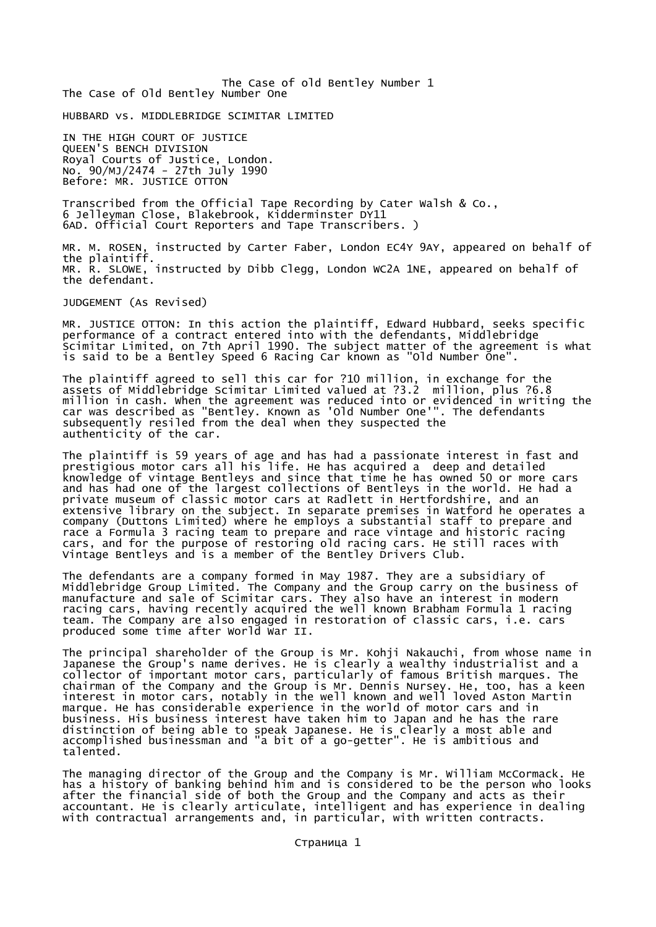The Case of old Bentley Number 1 The Case of Old Bentley Number One

HUBBARD vs. MIDDLEBRIDGE SCIMITAR LIMITED

IN THE HIGH COURT OF JUSTICE QUEEN'S BENCH DIVISION Royal Courts of Justice, London. No. 90/MJ/2474 - 27th July 1990 Before: MR. JUSTICE OTTON

Transcribed from the Official Tape Recording by Cater Walsh & Co., 6 Jelleyman Close, Blakebrook, Kidderminster DY11 6AD. Official Court Reporters and Tape Transcribers. )

MR. M. ROSEN, instructed by Carter Faber, London EC4Y 9AY, appeared on behalf of the plaintiff. MR. R. SLOWE, instructed by Dibb Clegg, London WC2A 1NE, appeared on behalf of the defendant.

JUDGEMENT (As Revised)

MR. JUSTICE OTTON: In this action the plaintiff, Edward Hubbard, seeks specific performance of a contract entered into with the defendants, Middlebridge Scimitar Limited, on 7th April 1990. The subject matter of the agreement is what is said to be a Bentley Speed 6 Racing Car known as "Old Number One".

The plaintiff agreed to sell this car for ?10 million, in exchange for the assets of Middlebridge Scimitar Limited valued at ?3.2 million, plus ?6.8 million in cash. When the agreement was reduced into or evidenced in writing the car was described as "Bentley. Known as 'Old Number One'". The defendants subsequently resiled from the deal when they suspected the authenticity of the car.

The plaintiff is 59 years of age and has had a passionate interest in fast and prestigious motor cars all his life. He has acquired a deep and detailed knowledge of vintage Bentleys and since that time he has owned 50 or more cars and has had one of the largest collections of Bentleys in the world. He had a private museum of classic motor cars at Radlett in Hertfordshire, and an extensive library on the subject. In separate premises in Watford he operates a company (Duttons Limited) where he employs a substantial staff to prepare and race a Formula 3 racing team to prepare and race vintage and historic racing cars, and for the purpose of restoring old racing cars. He still races with Vintage Bentleys and is a member of the Bentley Drivers Club.

The defendants are a company formed in May 1987. They are a subsidiary of Middlebridge Group Limited. The Company and the Group carry on the business of manufacture and sale of Scimitar cars. They also have an interest in modern racing cars, having recently acquired the well known Brabham Formula 1 racing team. The Company are also engaged in restoration of classic cars, i.e. cars produced some time after World War II.

The principal shareholder of the Group is Mr. Kohji Nakauchi, from whose name in Japanese the Group's name derives. He is clearly a wealthy industrialist and a collector of important motor cars, particularly of famous British marques. The chairman of the Company and the Group is Mr. Dennis Nursey. He, too, has a keen interest in motor cars, notably in the well known and well loved Aston Martin marque. He has considerable experience in the world of motor cars and in business. His business interest have taken him to Japan and he has the rare distinction of being able to speak Japanese. He is clearly a most able and accomplished businessman and "a bit of a go-getter". He is ambitious and talented.

The managing director of the Group and the Company is Mr. William McCormack. He has a history of banking behind him and is considered to be the person who looks after the financial side of both the Group and the Company and acts as their accountant. He is clearly articulate, intelligent and has experience in dealing with contractual arrangements and, in particular, with written contracts.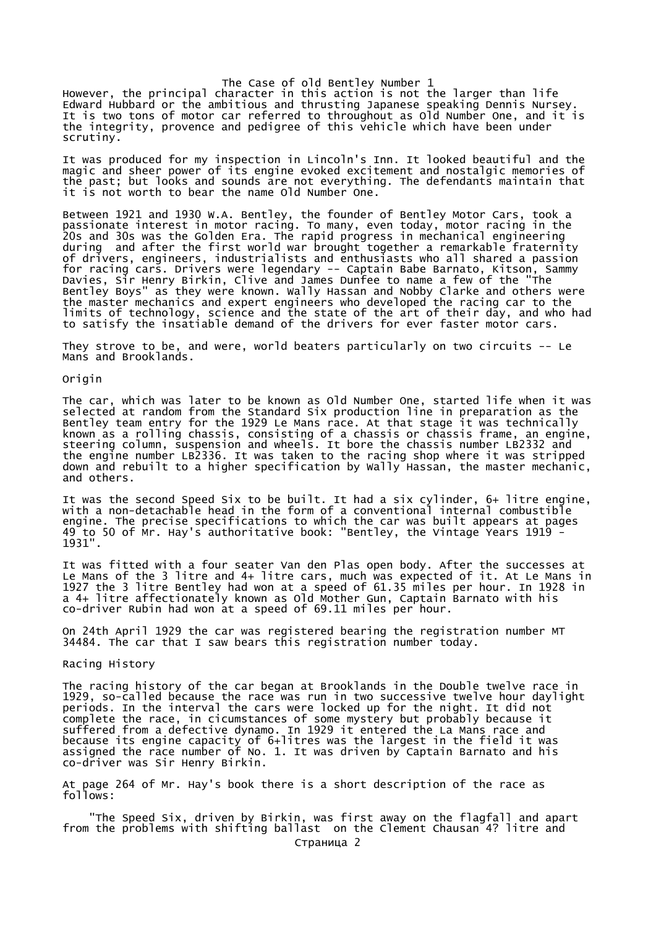The Case of old Bentley Number 1 However, the principal character in this action is not the larger than life Edward Hubbard or the ambitious and thrusting Japanese speaking Dennis Nursey. It is two tons of motor car referred to throughout as Old Number One, and it is the integrity, provence and pedigree of this vehicle which have been under scrutiny.

It was produced for my inspection in Lincoln's Inn. It looked beautiful and the magic and sheer power of its engine evoked excitement and nostalgic memories of the past; but looks and sounds are not everything. The defendants maintain that it is not worth to bear the name Old Number One.

Between 1921 and 1930 W.A. Bentley, the founder of Bentley Motor Cars, took a passionate interest in motor racing. To many, even today, motor racing in the 20s and 30s was the Golden Era. The rapid progress in mechanical engineering during and after the first world war brought together a remarkable fraternity of drivers, engineers, industrialists and enthusiasts who all shared a passion for racing cars. Drivers were legendary -- Captain Babe Barnato, Kitson, Sammy Davies, Sir Henry Birkin, Clive and James Dunfee to name a few of the "The Bentley Boys" as they were known. Wally Hassan and Nobby Clarke and others were the master mechanics and expert engineers who developed the racing car to the limits of technology, science and the state of the art of their day, and who had to satisfy the insatiable demand of the drivers for ever faster motor cars.

They strove to be, and were, world beaters particularly on two circuits -- Le Mans and Brooklands.

Origin

The car, which was later to be known as Old Number One, started life when it was selected at random from the Standard Six production line in preparation as the Bentley team entry for the 1929 Le Mans race. At that stage it was technically known as a rolling chassis, consisting of a chassis or chassis frame, an engine, steering column, suspension and wheels. It bore the chassis number LB2332 and the engine number LB2336. It was taken to the racing shop where it was stripped down and rebuilt to a higher specification by Wally Hassan, the master mechanic, and others.

It was the second Speed Six to be built. It had a six cylinder, 6+ litre engine, with a non-detachable head in the form of a conventional internal combustible engine. The precise specifications to which the car was built appears at pages 49 to 50 of Mr. Hay's authoritative book: "Bentley, the Vintage Years 1919 - 1931".

It was fitted with a four seater Van den Plas open body. After the successes at Le Mans of the 3 litre and 4+ litre cars, much was expected of it. At Le Mans in 1927 the 3 litre Bentley had won at a speed of 61.35 miles per hour. In 1928 in a 4+ litre affectionately known as Old Mother Gun, Captain Barnato with his co-driver Rubin had won at a speed of 69.11 miles per hour.

On 24th April 1929 the car was registered bearing the registration number MT 34484. The car that I saw bears this registration number today.

Racing History

The racing history of the car began at Brooklands in the Double twelve race in 1929, so-called because the race was run in two successive twelve hour daylight periods. In the interval the cars were locked up for the night. It did not complete the race, in cicumstances of some mystery but probably because it suffered from a defective dynamo. In 1929 it entered the La Mans race and because its engine capacity of 6+litres was the largest in the field it was assigned the race number of No. 1. It was driven by Captain Barnato and his co-driver was Sir Henry Birkin.

At page 264 of Mr. Hay's book there is a short description of the race as follows:

 "The Speed Six, driven by Birkin, was first away on the flagfall and apart from the problems with shifting ballast on the Clement Chausan 4? litre and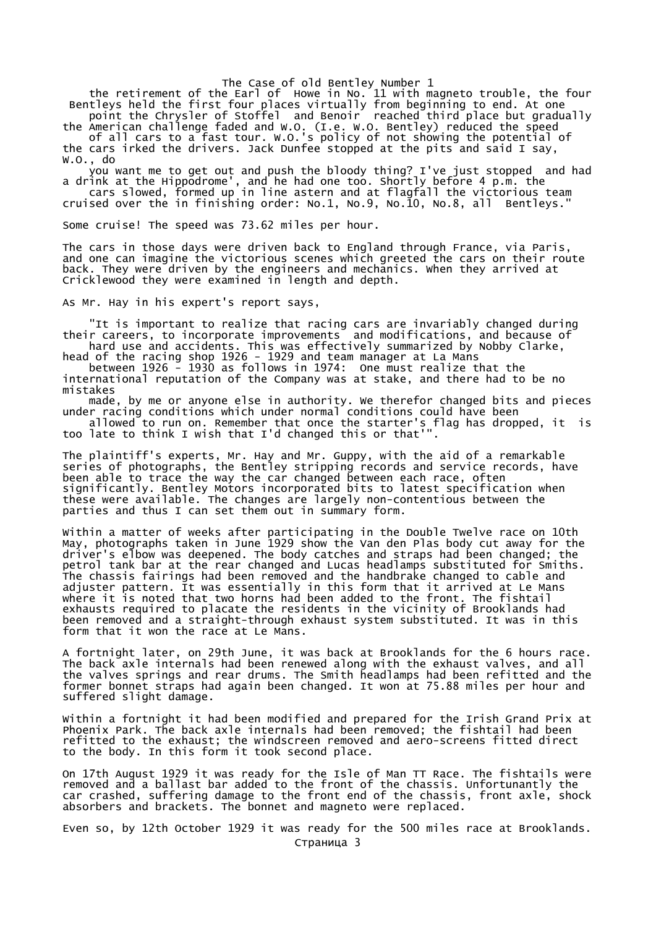the retirement of the Earl of Howe in No. 11 with magneto trouble, the four Bentleys held the first four places virtually from beginning to end. At one point the Chrysler of Stoffel and Benoir reached third place but gradually

the American challenge faded and W.O. (I.e. W.O. Bentley) reduced the speed of all cars to a fast tour. W.O.'s policy of not showing the potential of

the cars irked the drivers. Jack Dunfee stopped at the pits and said I say, W.O., do

 you want me to get out and push the bloody thing? I've just stopped and had a drink at the Hippodrome', and he had one too. Shortly before 4 p.m. the cars slowed, formed up in line astern and at flagfall the victorious team cruised over the in finishing order: No.1, No.9, No.10, No.8, all Bentleys."

Some cruise! The speed was 73.62 miles per hour.

The cars in those days were driven back to England through France, via Paris, and one can imagine the victorious scenes which greeted the cars on their route back. They were driven by the engineers and mechanics. When they arrived at Cricklewood they were examined in length and depth.

As Mr. Hay in his expert's report says,

 "It is important to realize that racing cars are invariably changed during their careers, to incorporate improvements and modifications, and because of hard use and accidents. This was effectively summarized by Nobby Clarke,

head of the racing shop 1926 - 1929 and team manager at La Mans between 1926 - 1930 as follows in 1974: One must realize that the

international reputation of the Company was at stake, and there had to be no mistakes

 made, by me or anyone else in authority. We therefor changed bits and pieces under racing conditions which under normal conditions could have been

 allowed to run on. Remember that once the starter's flag has dropped, it is too late to think I wish that I'd changed this or that'".

The plaintiff's experts, Mr. Hay and Mr. Guppy, with the aid of a remarkable series of photographs, the Bentley stripping records and service records, have been able to trace the way the car changed between each race, often significantly. Bentley Motors incorporated bits to latest specification when these were available. The changes are largely non-contentious between the parties and thus I can set them out in summary form.

Within a matter of weeks after participating in the Double Twelve race on 10th May, photographs taken in June 1929 show the Van den Plas body cut away for the driver's elbow was deepened. The body catches and straps had been changed; the petrol tank bar at the rear changed and Lucas headlamps substituted for Smiths. The chassis fairings had been removed and the handbrake changed to cable and adjuster pattern. It was essentially in this form that it arrived at Le Mans where it is noted that two horns had been added to the front. The fishtail exhausts required to placate the residents in the vicinity of Brooklands had been removed and a straight-through exhaust system substituted. It was in this form that it won the race at Le Mans.

A fortnight later, on 29th June, it was back at Brooklands for the 6 hours race. The back axle internals had been renewed along with the exhaust valves, and all the valves springs and rear drums. The Smith headlamps had been refitted and the former bonnet straps had again been changed. It won at 75.88 miles per hour and suffered slight damage.

Within a fortnight it had been modified and prepared for the Irish Grand Prix at Phoenix Park. The back axle internals had been removed; the fishtail had been refitted to the exhaust; the windscreen removed and aero-screens fitted direct to the body. In this form it took second place.

On 17th August 1929 it was ready for the Isle of Man TT Race. The fishtails were removed and a ballast bar added to the front of the chassis. Unfortunantly the car crashed, suffering damage to the front end of the chassis, front axle, shock absorbers and brackets. The bonnet and magneto were replaced.

Even so, by 12th October 1929 it was ready for the 500 miles race at Brooklands. Страница 3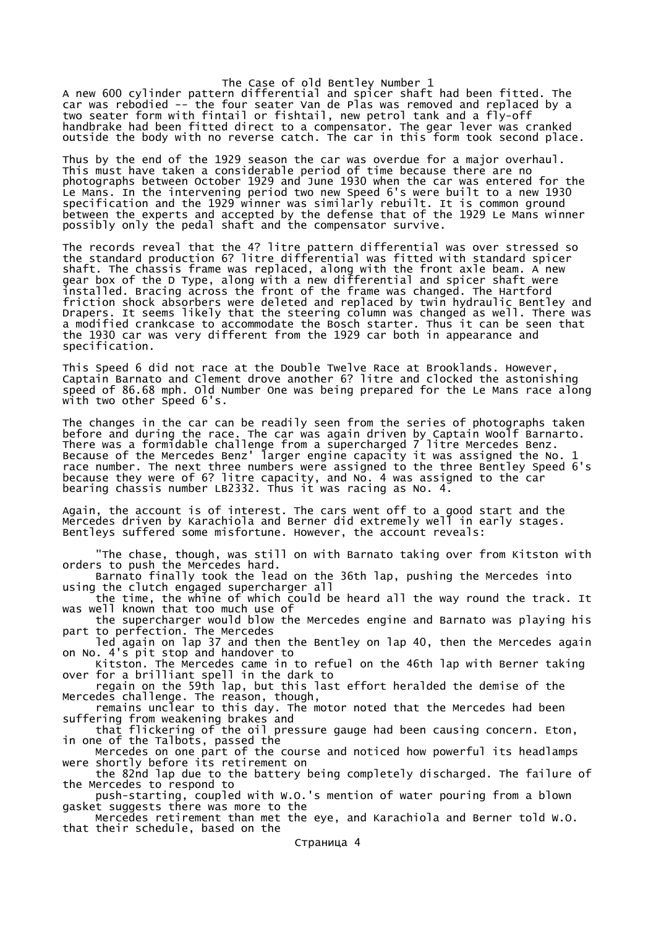A new 600 cylinder pattern differential and spicer shaft had been fitted. The car was rebodied -- the four seater Van de Plas was removed and replaced by a two seater form with fintail or fishtail, new petrol tank and a fly-off handbrake had been fitted direct to a compensator. The gear lever was cranked outside the body with no reverse catch. The car in this form took second place.

Thus by the end of the 1929 season the car was overdue for a major overhaul. This must have taken a considerable period of time because there are no photographs between October 1929 and June 1930 when the car was entered for the Le Mans. In the intervening period two new Speed 6's were built to a new 1930 specification and the 1929 winner was similarly rebuilt. It is common ground between the experts and accepted by the defense that of the 1929 Le Mans winner possibly only the pedal shaft and the compensator survive.

The records reveal that the 4? litre pattern differential was over stressed so the standard production 6? litre differential was fitted with standard spicer shaft. The chassis frame was replaced, along with the front axle beam. A new gear box of the D Type, along with a new differential and spicer shaft were installed. Bracing across the front of the frame was changed. The Hartford friction shock absorbers were deleted and replaced by twin hydraulic Bentley and Drapers. It seems likely that the steering column was changed as well. There was a modified crankcase to accommodate the Bosch starter. Thus it can be seen that the 1930 car was very different from the 1929 car both in appearance and specification.

This Speed 6 did not race at the Double Twelve Race at Brooklands. However, Captain Barnato and Clement drove another 6? litre and clocked the astonishing speed of 86.68 mph. Old Number One was being prepared for the Le Mans race along with two other Speed 6's.

The changes in the car can be readily seen from the series of photographs taken before and during the race. The car was again driven by Captain Woolf Barnarto. There was a formidable challenge from a supercharged 7 litre Mercedes Benz. Because of the Mercedes Benz' larger engine capacity it was assigned the No. 1 race number. The next three numbers were assigned to the three Bentley Speed 6's because they were of 6? litre capacity, and No. 4 was assigned to the car bearing chassis number LB2332. Thus it was racing as No. 4.

Again, the account is of interest. The cars went off to a good start and the Mercedes driven by Karachiola and Berner did extremely well in early stages. Bentleys suffered some misfortune. However, the account reveals:

 "The chase, though, was still on with Barnato taking over from Kitston with orders to push the Mercedes hard.

 Barnato finally took the lead on the 36th lap, pushing the Mercedes into using the clutch engaged supercharger all

 the time, the whine of which could be heard all the way round the track. It was well known that too much use of

 the supercharger would blow the Mercedes engine and Barnato was playing his part to perfection. The Mercedes

 led again on lap 37 and then the Bentley on lap 40, then the Mercedes again on No. 4's pit stop and handover to

 Kitston. The Mercedes came in to refuel on the 46th lap with Berner taking over for a brilliant spell in the dark to

 regain on the 59th lap, but this last effort heralded the demise of the Mercedes challenge. The reason, though,

 remains unclear to this day. The motor noted that the Mercedes had been suffering from weakening brakes and

 that flickering of the oil pressure gauge had been causing concern. Eton, in one of the Talbots, passed the

Mercedes on one part of the course and noticed how powerful its headlamps were shortly before its retirement on

 the 82nd lap due to the battery being completely discharged. The failure of the Mercedes to respond to

 push-starting, coupled with W.O.'s mention of water pouring from a blown gasket suggests there was more to the

 Mercedes retirement than met the eye, and Karachiola and Berner told W.O. that their schedule, based on the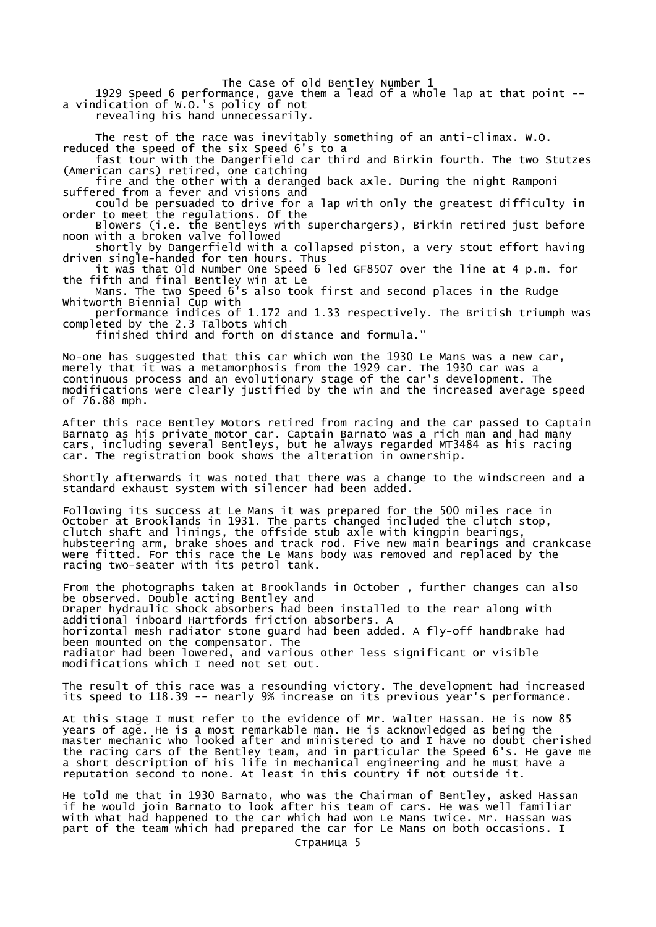1929 Speed 6 performance, gave them a lead of a whole lap at that point - a vindication of W.O.'s policy of not

revealing his hand unnecessarily.

The rest of the race was inevitably something of an anti-climax. W.O.

reduced the speed of the six Speed 6's to a fast tour with the Dangerfield car third and Birkin fourth. The two Stutzes (American cars) retired, one catching

 fire and the other with a deranged back axle. During the night Ramponi suffered from a fever and visions and

 could be persuaded to drive for a lap with only the greatest difficulty in order to meet the regulations. Of the

 Blowers (i.e. the Bentleys with superchargers), Birkin retired just before noon with a broken valve followed

 shortly by Dangerfield with a collapsed piston, a very stout effort having driven single-handed for ten hours. Thus

 it was that Old Number One Speed 6 led GF8507 over the line at 4 p.m. for the fifth and final Bentley win at Le

 Mans. The two Speed 6's also took first and second places in the Rudge Whitworth Biennial Cup with

 performance indices of 1.172 and 1.33 respectively. The British triumph was completed by the 2.3 Talbots which

finished third and forth on distance and formula."

No-one has suggested that this car which won the 1930 Le Mans was a new car, merely that it was a metamorphosis from the 1929 car. The 1930 car was a continuous process and an evolutionary stage of the car's development. The modifications were clearly justified by the win and the increased average speed of 76.88 mph.

After this race Bentley Motors retired from racing and the car passed to Captain Barnato as his private motor car. Captain Barnato was a rich man and had many cars, including several Bentleys, but he always regarded MT3484 as his racing car. The registration book shows the alteration in ownership.

Shortly afterwards it was noted that there was a change to the windscreen and a standard exhaust system with silencer had been added.

Following its success at Le Mans it was prepared for the 500 miles race in October at Brooklands in 1931. The parts changed included the clutch stop, clutch shaft and linings, the offside stub axle with kingpin bearings, hubsteering arm, brake shoes and track rod. Five new main bearings and crankcase were fitted. For this race the Le Mans body was removed and replaced by the racing two-seater with its petrol tank.

From the photographs taken at Brooklands in October , further changes can also be observed. Double acting Bentley and Draper hydraulic shock absorbers had been installed to the rear along with additional inboard Hartfords friction absorbers. A horizontal mesh radiator stone guard had been added. A fly-off handbrake had been mounted on the compensator. The radiator had been lowered, and various other less significant or visible modifications which I need not set out.

The result of this race was a resounding victory. The development had increased its speed to 118.39 -- nearly 9% increase on its previous year's performance.

At this stage I must refer to the evidence of Mr. Walter Hassan. He is now 85 years of age. He is a most remarkable man. He is acknowledged as being the master mechanic who looked after and ministered to and I have no doubt cherished the racing cars of the Bentley team, and in particular the Speed 6's. He gave me a short description of his life in mechanical engineering and he must have a reputation second to none. At least in this country if not outside it.

He told me that in 1930 Barnato, who was the Chairman of Bentley, asked Hassan if he would join Barnato to look after his team of cars. He was well familiar with what had happened to the car which had won Le Mans twice. Mr. Hassan was part of the team which had prepared the car for Le Mans on both occasions. I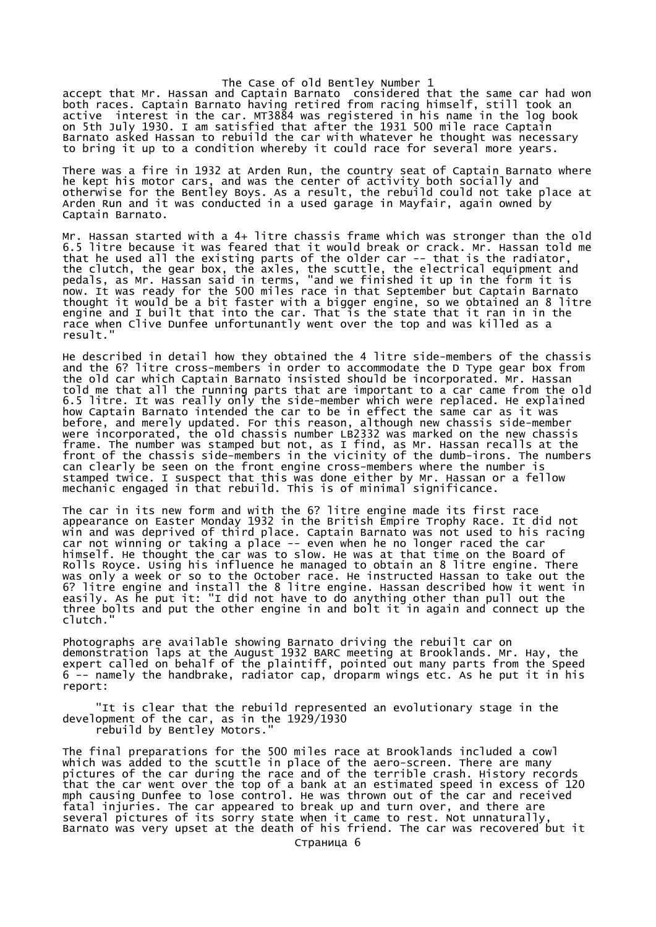The Case of old Bentley Number 1 accept that Mr. Hassan and Captain Barnato considered that the same car had won both races. Captain Barnato having retired from racing himself, still took an active interest in the car. MT3884 was registered in his name in the log book on 5th July 1930. I am satisfied that after the 1931 500 mile race Captain Barnato asked Hassan to rebuild the car with whatever he thought was necessary to bring it up to a condition whereby it could race for several more years.

There was a fire in 1932 at Arden Run, the country seat of Captain Barnato where he kept his motor cars, and was the center of activity both socially and otherwise for the Bentley Boys. As a result, the rebuild could not take place at Arden Run and it was conducted in a used garage in Mayfair, again owned by Captain Barnato.

Mr. Hassan started with a 4+ litre chassis frame which was stronger than the old 6.5 litre because it was feared that it would break or crack. Mr. Hassan told me that he used all the existing parts of the older car -- that is the radiator, the clutch, the gear box, the axles, the scuttle, the electrical equipment and pedals, as Mr. Hassan said in terms, "and we finished it up in the form it is now. It was ready for the 500 miles race in that September but Captain Barnato thought it would be a bit faster with a bigger engine, so we obtained an 8 litre engine and I built that into the car. That is the state that it ran in in the race when Clive Dunfee unfortunantly went over the top and was killed as a result."

He described in detail how they obtained the 4 litre side-members of the chassis and the 6? litre cross-members in order to accommodate the D Type gear box from the old car which Captain Barnato insisted should be incorporated. Mr. Hassan told me that all the running parts that are important to a car came from the old 6.5 litre. It was really only the side-member which were replaced. He explained how Captain Barnato intended the car to be in effect the same car as it was before, and merely updated. For this reason, although new chassis side-member were incorporated, the old chassis number LB2332 was marked on the new chassis frame. The number was stamped but not, as I find, as Mr. Hassan recalls at the front of the chassis side-members in the vicinity of the dumb-irons. The numbers can clearly be seen on the front engine cross-members where the number is stamped twice. I suspect that this was done either by Mr. Hassan or a fellow mechanic engaged in that rebuild. This is of minimal significance.

The car in its new form and with the 6? litre engine made its first race appearance on Easter Monday 1932 in the British Empire Trophy Race. It did not win and was deprived of third place. Captain Barnato was not used to his racing car not winning or taking a place -- even when he no longer raced the car himself. He thought the car was to slow. He was at that time on the Board of Rolls Royce. Using his influence he managed to obtain an 8 litre engine. There was only a week or so to the October race. He instructed Hassan to take out the 6? litre engine and install the 8 litre engine. Hassan described how it went in easily. As he put it: "I did not have to do anything other than pull out the three bolts and put the other engine in and bolt it in again and connect up the clutch."

Photographs are available showing Barnato driving the rebuilt car on demonstration laps at the August 1932 BARC meeting at Brooklands. Mr. Hay, the expert called on behalf of the plaintiff, pointed out many parts from the Speed 6 -- namely the handbrake, radiator cap, droparm wings etc. As he put it in his report:

 "It is clear that the rebuild represented an evolutionary stage in the development of the car, as in the 1929/1930 rebuild by Bentley Motors."

The final preparations for the 500 miles race at Brooklands included a cowl which was added to the scuttle in place of the aero-screen. There are many pictures of the car during the race and of the terrible crash. History records that the car went over the top of a bank at an estimated speed in excess of 120 mph causing Dunfee to lose control. He was thrown out of the car and received fatal injuries. The car appeared to break up and turn over, and there are several pictures of its sorry state when it came to rest. Not unnaturally, Barnato was very upset at the death of his friend. The car was recovered but it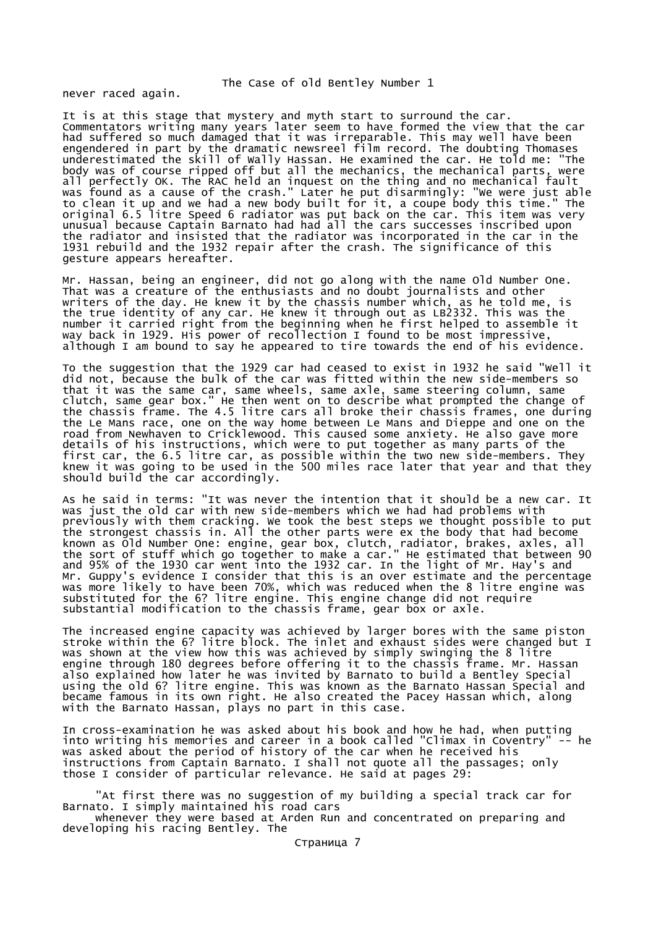never raced again.

It is at this stage that mystery and myth start to surround the car. Commentators writing many years later seem to have formed the view that the car had suffered so much damaged that it was irreparable. This may well have been engendered in part by the dramatic newsreel film record. The doubting Thomases underestimated the skill of Wally Hassan. He examined the car. He told me: "The body was of course ripped off but all the mechanics, the mechanical parts, were all perfectly OK. The RAC held an inquest on the thing and no mechanical fault was found as a cause of the crash." Later he put disarmingly: "We were just able to clean it up and we had a new body built for it, a coupe body this time." The original 6.5 litre Speed 6 radiator was put back on the car. This item was very unusual because Captain Barnato had had all the cars successes inscribed upon the radiator and insisted that the radiator was incorporated in the car in the 1931 rebuild and the 1932 repair after the crash. The significance of this gesture appears hereafter.

Mr. Hassan, being an engineer, did not go along with the name Old Number One. That was a creature of the enthusiasts and no doubt journalists and other writers of the day. He knew it by the chassis number which, as he told me, is the true identity of any car. He knew it through out as LB2332. This was the number it carried right from the beginning when he first helped to assemble it way back in 1929. His power of recollection I found to be most impressive, although I am bound to say he appeared to tire towards the end of his evidence.

To the suggestion that the 1929 car had ceased to exist in 1932 he said "Well it did not, because the bulk of the car was fitted within the new side-members so that it was the same car, same wheels, same axle, same steering column, same clutch, same gear box." He then went on to describe what prompted the change of the chassis frame. The 4.5 litre cars all broke their chassis frames, one during the Le Mans race, one on the way home between Le Mans and Dieppe and one on the road from Newhaven to Cricklewood. This caused some anxiety. He also gave more details of his instructions, which were to put together as many parts of the first car, the 6.5 litre car, as possible within the two new side-members. They knew it was going to be used in the 500 miles race later that year and that they should build the car accordingly.

As he said in terms: "It was never the intention that it should be a new car. It was just the old car with new side-members which we had had problems with previously with them cracking. We took the best steps we thought possible to put the strongest chassis in. All the other parts were ex the body that had become known as Old Number One: engine, gear box, clutch, radiator, brakes, axles, all the sort of stuff which go together to make a car." He estimated that between 90 and 95% of the 1930 car went into the 1932 car. In the light of Mr. Hay's and Mr. Guppy's evidence I consider that this is an over estimate and the percentage was more likely to have been 70%, which was reduced when the 8 litre engine was substituted for the 6? litre engine. This engine change did not require substantial modification to the chassis frame, gear box or axle.

The increased engine capacity was achieved by larger bores with the same piston stroke within the 6? litre block. The inlet and exhaust sides were changed but I was shown at the view how this was achieved by simply swinging the 8 litre engine through 180 degrees before offering it to the chassis frame. Mr. Hassan also explained how later he was invited by Barnato to build a Bentley Special using the old 6? litre engine. This was known as the Barnato Hassan Special and became famous in its own right. He also created the Pacey Hassan which, along with the Barnato Hassan, plays no part in this case.

In cross-examination he was asked about his book and how he had, when putting into writing his memories and career in a book called "Climax in Coventry" -- he was asked about the period of history of the car when he received his instructions from Captain Barnato. I shall not quote all the passages; only those I consider of particular relevance. He said at pages 29:

 "At first there was no suggestion of my building a special track car for Barnato. I simply maintained his road cars whenever they were based at Arden Run and concentrated on preparing and developing his racing Bentley. The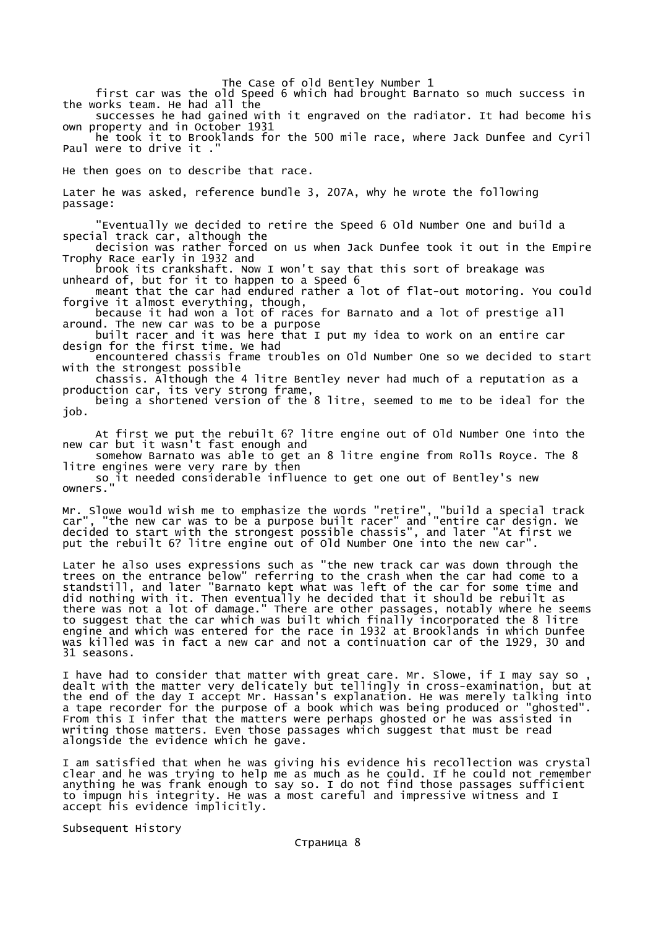first car was the old Speed 6 which had brought Barnato so much success in the works team. He had all the

 successes he had gained with it engraved on the radiator. It had become his own property and in October 1931

 he took it to Brooklands for the 500 mile race, where Jack Dunfee and Cyril Paul were to drive it.

He then goes on to describe that race.

Later he was asked, reference bundle 3, 207A, why he wrote the following passage:

 "Eventually we decided to retire the Speed 6 Old Number One and build a special track car, although the

 decision was rather forced on us when Jack Dunfee took it out in the Empire Trophy Race early in 1932 and

 brook its crankshaft. Now I won't say that this sort of breakage was unheard of, but for it to happen to a Speed 6

 meant that the car had endured rather a lot of flat-out motoring. You could forgive it almost everything, though,

 because it had won a lot of races for Barnato and a lot of prestige all around. The new car was to be a purpose

 built racer and it was here that I put my idea to work on an entire car design for the first time. We had

 encountered chassis frame troubles on Old Number One so we decided to start with the strongest possible

 chassis. Although the 4 litre Bentley never had much of a reputation as a production car, its very strong frame,

 being a shortened version of the 8 litre, seemed to me to be ideal for the job.

 At first we put the rebuilt 6? litre engine out of Old Number One into the new car but it wasn't fast enough and

somehow Barnato was able to get an 8 litre engine from Rolls Royce. The 8 litre engines were very rare by then

 so it needed considerable influence to get one out of Bentley's new owners.

Mr. Slowe would wish me to emphasize the words "retire", "build a special track car", "the new car was to be a purpose built racer" and "entire car design. We decided to start with the strongest possible chassis", and later "At first we put the rebuilt 6? litre engine out of Old Number One into the new car".

Later he also uses expressions such as "the new track car was down through the trees on the entrance below" referring to the crash when the car had come to a standstill, and later "Barnato kept what was left of the car for some time and did nothing with it. Then eventually he decided that it should be rebuilt as there was not a lot of damage." There are other passages, notably where he seems to suggest that the car which was built which finally incorporated the 8 litre engine and which was entered for the race in 1932 at Brooklands in which Dunfee was killed was in fact a new car and not a continuation car of the 1929, 30 and 31 seasons.

I have had to consider that matter with great care. Mr. Slowe, if I may say so, dealt with the matter very delicately but tellingly in cross-examination, but at the end of the day I accept Mr. Hassan's explanation. He was merely talking into a tape recorder for the purpose of a book which was being produced or "ghosted". From this I infer that the matters were perhaps ghosted or he was assisted in writing those matters. Even those passages which suggest that must be read alongside the evidence which he gave.

I am satisfied that when he was giving his evidence his recollection was crystal clear and he was trying to help me as much as he could. If he could not remember anything he was frank enough to say so. I do not find those passages sufficient to impugn his integrity. He was a most careful and impressive witness and I accept his evidence implicitly.

Subsequent History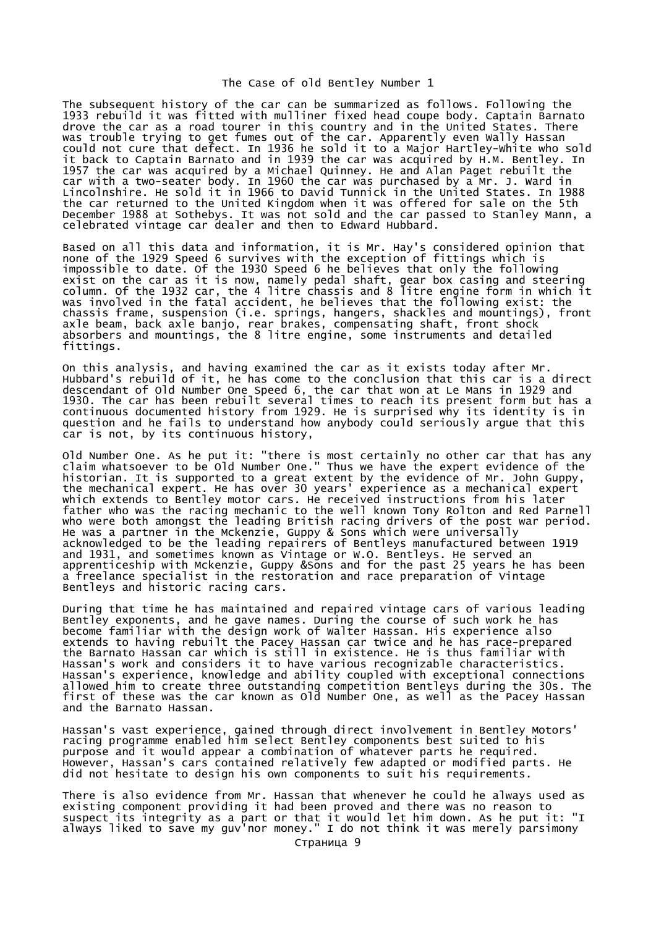The subsequent history of the car can be summarized as follows. Following the 1933 rebuild it was fitted with mulliner fixed head coupe body. Captain Barnato drove the car as a road tourer in this country and in the United States. There was trouble trying to get fumes out of the car. Apparently even Wally Hassan could not cure that defect. In 1936 he sold it to a Major Hartley-White who sold it back to Captain Barnato and in 1939 the car was acquired by H.M. Bentley. In 1957 the car was acquired by a Michael Quinney. He and Alan Paget rebuilt the car with a two-seater body. In 1960 the car was purchased by a Mr. J. Ward in Lincolnshire. He sold it in 1966 to David Tunnick in the United States. In 1988 the car returned to the United Kingdom when it was offered for sale on the 5th December 1988 at Sothebys. It was not sold and the car passed to Stanley Mann, a celebrated vintage car dealer and then to Edward Hubbard.

Based on all this data and information, it is Mr. Hay's considered opinion that none of the 1929 Speed 6 survives with the exception of fittings which is impossible to date. Of the 1930 Speed 6 he believes that only the following exist on the car as it is now, namely pedal shaft, gear box casing and steering column. Of the 1932 car, the 4 litre chassis and 8 litre engine form in which it was involved in the fatal accident, he believes that the following exist: the chassis frame, suspension (i.e. springs, hangers, shackles and mountings), front axle beam, back axle banjo, rear brakes, compensating shaft, front shock absorbers and mountings, the 8 litre engine, some instruments and detailed fittings.

On this analysis, and having examined the car as it exists today after Mr. Hubbard's rebuild of it, he has come to the conclusion that this car is a direct descendant of Old Number One Speed 6, the car that won at Le Mans in 1929 and 1930. The car has been rebuilt several times to reach its present form but has a continuous documented history from 1929. He is surprised why its identity is in question and he fails to understand how anybody could seriously argue that this car is not, by its continuous history,

Old Number One. As he put it: "there is most certainly no other car that has any claim whatsoever to be Old Number One." Thus we have the expert evidence of the historian. It is supported to a great extent by the evidence of Mr. John Guppy, the mechanical expert. He has over 30 years' experience as a mechanical expert which extends to Bentley motor cars. He received instructions from his later father who was the racing mechanic to the well known Tony Rolton and Red Parnell who were both amongst the leading British racing drivers of the post war period. He was a partner in the Mckenzie, Guppy & Sons which were universally acknowledged to be the leading repairers of Bentleys manufactured between 1919 and 1931, and sometimes known as Vintage or W.O. Bentleys. He served an apprenticeship with Mckenzie, Guppy &Sons and for the past 25 years he has been a freelance specialist in the restoration and race preparation of Vintage Bentleys and historic racing cars.

During that time he has maintained and repaired vintage cars of various leading Bentley exponents, and he gave names. During the course of such work he has become familiar with the design work of Walter Hassan. His experience also extends to having rebuilt the Pacey Hassan car twice and he has race-prepared the Barnato Hassan car which is still in existence. He is thus familiar with Hassan's work and considers it to have various recognizable characteristics. Hassan's experience, knowledge and ability coupled with exceptional connections allowed him to create three outstanding competition Bentleys during the 30s. The first of these was the car known as Old Number One, as well as the Pacey Hassan and the Barnato Hassan.

Hassan's vast experience, gained through direct involvement in Bentley Motors' racing programme enabled him select Bentley components best suited to his purpose and it would appear a combination of whatever parts he required. However, Hassan's cars contained relatively few adapted or modified parts. He did not hesitate to design his own components to suit his requirements.

There is also evidence from Mr. Hassan that whenever he could he always used as existing component providing it had been proved and there was no reason to suspect its integrity as a part or that it would let him down. As he put it: "I always liked to save my guv'nor money." I do not think it was merely parsimony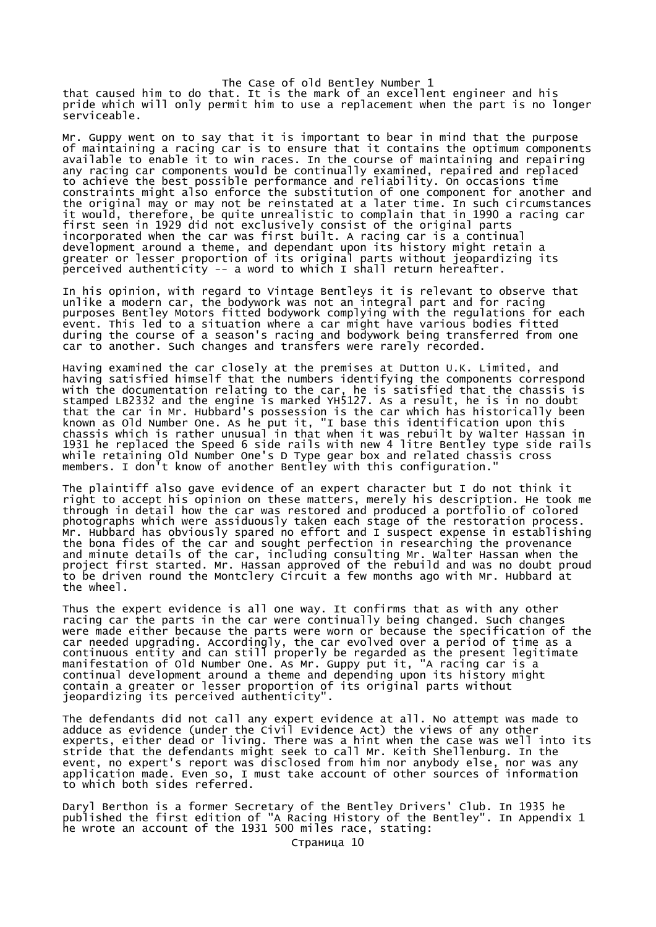The Case of old Bentley Number 1 that caused him to do that. It is the mark of an excellent engineer and his pride which will only permit him to use a replacement when the part is no longer serviceable.

Mr. Guppy went on to say that it is important to bear in mind that the purpose of maintaining a racing car is to ensure that it contains the optimum components available to enable it to win races. In the course of maintaining and repairing any racing car components would be continually examined, repaired and replaced to achieve the best possible performance and reliability. On occasions time constraints might also enforce the substitution of one component for another and the original may or may not be reinstated at a later time. In such circumstances it would, therefore, be quite unrealistic to complain that in 1990 a racing car first seen in 1929 did not exclusively consist of the original parts incorporated when the car was first built. A racing car is a continual development around a theme, and dependant upon its history might retain a greater or lesser proportion of its original parts without jeopardizing its perceived authenticity -- a word to which I shall return hereafter.

In his opinion, with regard to Vintage Bentleys it is relevant to observe that unlike a modern car, the bodywork was not an integral part and for racing purposes Bentley Motors fitted bodywork complying with the regulations for each event. This led to a situation where a car might have various bodies fitted during the course of a season's racing and bodywork being transferred from one car to another. Such changes and transfers were rarely recorded.

Having examined the car closely at the premises at Dutton U.K. Limited, and having satisfied himself that the numbers identifying the components correspond with the documentation relating to the car, he is satisfied that the chassis is stamped LB2332 and the engine is marked YH5127. As a result, he is in no doubt that the car in Mr. Hubbard's possession is the car which has historically been known as Old Number One. As he put it, "I base this identification upon this chassis which is rather unusual in that when it was rebuilt by Walter Hassan in 1931 he replaced the Speed 6 side rails with new 4 litre Bentley type side rails while retaining Old Number One's D Type gear box and related chassis cross members. I don't know of another Bentley with this configuration."

The plaintiff also gave evidence of an expert character but I do not think it right to accept his opinion on these matters, merely his description. He took me through in detail how the car was restored and produced a portfolio of colored photographs which were assiduously taken each stage of the restoration process. Mr. Hubbard has obviously spared no effort and I suspect expense in establishing the bona fides of the car and sought perfection in researching the provenance and minute details of the car, including consulting Mr. Walter Hassan when the project first started. Mr. Hassan approved of the rebuild and was no doubt proud to be driven round the Montclery Circuit a few months ago with Mr. Hubbard at the wheel.

Thus the expert evidence is all one way. It confirms that as with any other racing car the parts in the car were continually being changed. Such changes were made either because the parts were worn or because the specification of the car needed upgrading. Accordingly, the car evolved over a period of time as a continuous entity and can still properly be regarded as the present legitimate manifestation of Old Number One. As Mr. Guppy put it, "A racing car is a continual development around a theme and depending upon its history might contain a greater or lesser proportion of its original parts without jeopardizing its perceived authenticity".

The defendants did not call any expert evidence at all. No attempt was made to adduce as evidence (under the Civil Evidence Act) the views of any other experts, either dead or living. There was a hint when the case was well into its stride that the defendants might seek to call Mr. Keith Shellenburg. In the event, no expert's report was disclosed from him nor anybody else, nor was any application made. Even so, I must take account of other sources of information to which both sides referred.

Daryl Berthon is a former Secretary of the Bentley Drivers' Club. In 1935 he published the first edition of "A Racing History of the Bentley". In Appendix 1 he wrote an account of the 1931 500 miles race, stating: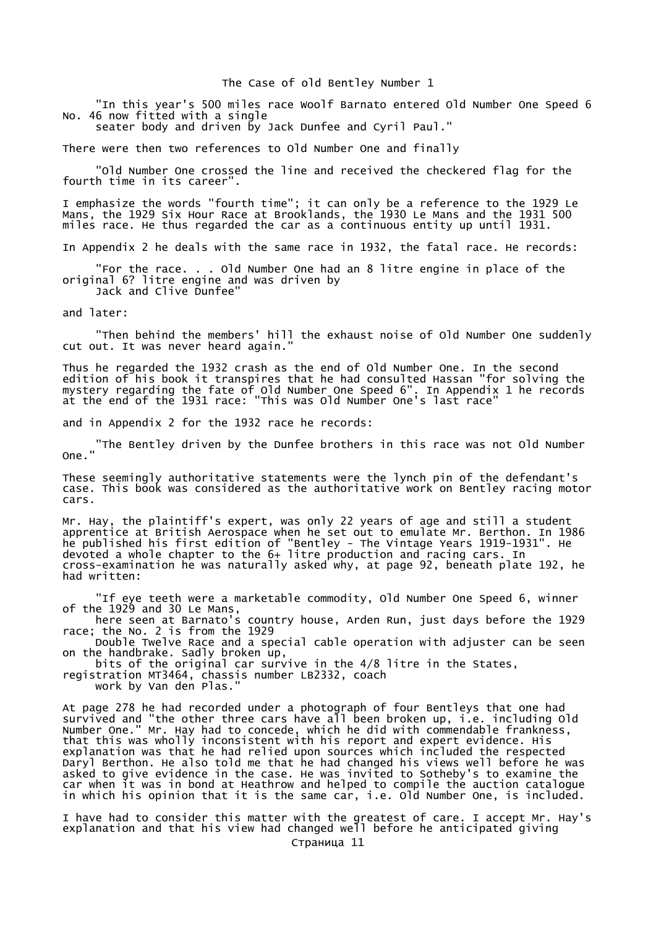"In this year's 500 miles race Woolf Barnato entered Old Number One Speed 6 No. 46 now fitted with a single

seater body and driven by Jack Dunfee and Cyril Paul."

There were then two references to Old Number One and finally

 "Old Number One crossed the line and received the checkered flag for the fourth time in its career".

I emphasize the words "fourth time"; it can only be a reference to the 1929 Le Mans, the 1929 Six Hour Race at Brooklands, the 1930 Le Mans and the 1931 500 miles race. He thus regarded the car as a continuous entity up until 1931.

In Appendix 2 he deals with the same race in 1932, the fatal race. He records:

 "For the race. . . Old Number One had an 8 litre engine in place of the original 6? litre engine and was driven by Jack and Clive Dunfee"

and later:

 "Then behind the members' hill the exhaust noise of Old Number One suddenly cut out. It was never heard again.

Thus he regarded the 1932 crash as the end of Old Number One. In the second edition of his book it transpires that he had consulted Hassan "for solving the mystery regarding the fate of Old Number One Speed 6". In Appendix 1 he records at the end of the 1931 race: "This was Old Number One's last race"

and in Appendix 2 for the 1932 race he records:

 "The Bentley driven by the Dunfee brothers in this race was not Old Number One."

These seemingly authoritative statements were the lynch pin of the defendant's case. This book was considered as the authoritative work on Bentley racing motor cars.

Mr. Hay, the plaintiff's expert, was only 22 years of age and still a student apprentice at British Aerospace when he set out to emulate Mr. Berthon. In 1986 he published his first edition of "Bentley - The Vintage Years 1919-1931". He devoted a whole chapter to the 6+ litre production and racing cars. In cross-examination he was naturally asked why, at page 92, beneath plate 192, he had written:

 "If eye teeth were a marketable commodity, Old Number One Speed 6, winner of the 1929 and 30 Le Mans,

 here seen at Barnato's country house, Arden Run, just days before the 1929 race; the No. 2 is from the 1929

 Double Twelve Race and a special cable operation with adjuster can be seen on the handbrake. Sadly broken up,

bits of the original car survive in the 4/8 litre in the States,

registration MT3464, chassis number LB2332, coach work by Van den Plas."

At page 278 he had recorded under a photograph of four Bentleys that one had survived and "the other three cars have all been broken up, i.e. including Old Number One." Mr. Hay had to concede, which he did with commendable frankness, that this was wholly inconsistent with his report and expert evidence. His explanation was that he had relied upon sources which included the respected Daryl Berthon. He also told me that he had changed his views well before he was asked to give evidence in the case. He was invited to Sotheby's to examine the car when it was in bond at Heathrow and helped to compile the auction catalogue in which his opinion that it is the same car, i.e. Old Number One, is included.

I have had to consider this matter with the greatest of care. I accept Mr. Hay's explanation and that his view had changed well before he anticipated giving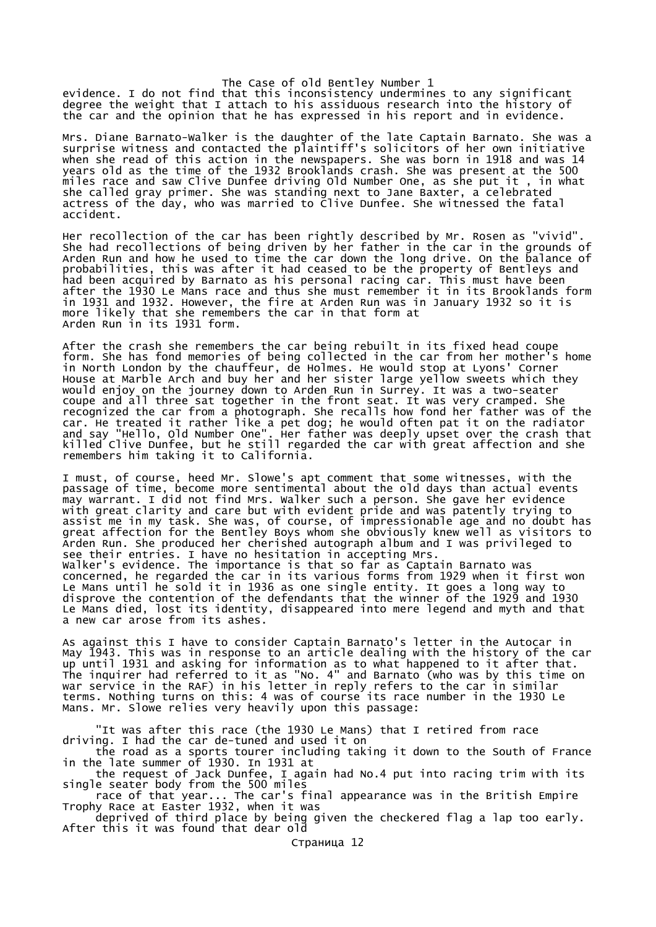evidence. I do not find that this inconsistency undermines to any significant degree the weight that I attach to his assiduous research into the history of the car and the opinion that he has expressed in his report and in evidence.

Mrs. Diane Barnato-Walker is the daughter of the late Captain Barnato. She was a surprise witness and contacted the plaintiff's solicitors of her own initiative when she read of this action in the newspapers. She was born in 1918 and was 14 years old as the time of the 1932 Brooklands crash. She was present at the 500 miles race and saw Clive Dunfee driving Old Number One, as she put it , in what she called gray primer. She was standing next to Jane Baxter, a celebrated actress of the day, who was married to Clive Dunfee. She witnessed the fatal accident.

Her recollection of the car has been rightly described by Mr. Rosen as "vivid". She had recollections of being driven by her father in the car in the grounds of Arden Run and how he used to time the car down the long drive. On the balance of probabilities, this was after it had ceased to be the property of Bentleys and had been acquired by Barnato as his personal racing car. This must have been after the 1930 Le Mans race and thus she must remember it in its Brooklands form in 1931 and 1932. However, the fire at Arden Run was in January 1932 so it is more likely that she remembers the car in that form at Arden Run in its 1931 form.

After the crash she remembers the car being rebuilt in its fixed head coupe form. She has fond memories of being collected in the car from her mother's home in North London by the chauffeur, de Holmes. He would stop at Lyons' Corner House at Marble Arch and buy her and her sister large yellow sweets which they would enjoy on the journey down to Arden Run in Surrey. It was a two-seater coupe and all three sat together in the front seat. It was very cramped. She recognized the car from a photograph. She recalls how fond her father was of the car. He treated it rather like a pet dog; he would often pat it on the radiator and say "Hello, Old Number One". Her father was deeply upset over the crash that killed Clive Dunfee, but he still regarded the car with great affection and she remembers him taking it to California.

I must, of course, heed Mr. Slowe's apt comment that some witnesses, with the passage of time, become more sentimental about the old days than actual events may warrant. I did not find Mrs. Walker such a person. She gave her evidence with great clarity and care but with evident pride and was patently trying to assist me in my task. She was, of course, of impressionable age and no doubt has great affection for the Bentley Boys whom she obviously knew well as visitors to Arden Run. She produced her cherished autograph album and I was privileged to see their entries. I have no hesitation in accepting Mrs. Walker's evidence. The importance is that so far as Captain Barnato was concerned, he regarded the car in its various forms from 1929 when it first won Le Mans until he sold it in 1936 as one single entity. It goes a long way to disprove the contention of the defendants that the winner of the 1929 and 1930 Le Mans died, lost its identity, disappeared into mere legend and myth and that a new car arose from its ashes.

As against this I have to consider Captain Barnato's letter in the Autocar in May 1943. This was in response to an article dealing with the history of the car up until 1931 and asking for information as to what happened to it after that. The inquirer had referred to it as "No. 4" and Barnato (who was by this time on war service in the RAF) in his letter in reply refers to the car in similar terms. Nothing turns on this: 4 was of course its race number in the 1930 Le Mans. Mr. Slowe relies very heavily upon this passage:

 "It was after this race (the 1930 Le Mans) that I retired from race driving. I had the car de-tuned and used it on

 the road as a sports tourer including taking it down to the South of France in the late summer of 1930. In 1931 at

 the request of Jack Dunfee, I again had No.4 put into racing trim with its single seater body from the 500 miles

 race of that year... The car's final appearance was in the British Empire Trophy Race at Easter 1932, when it was

 deprived of third place by being given the checkered flag a lap too early. After this it was found that dear old

Страница 12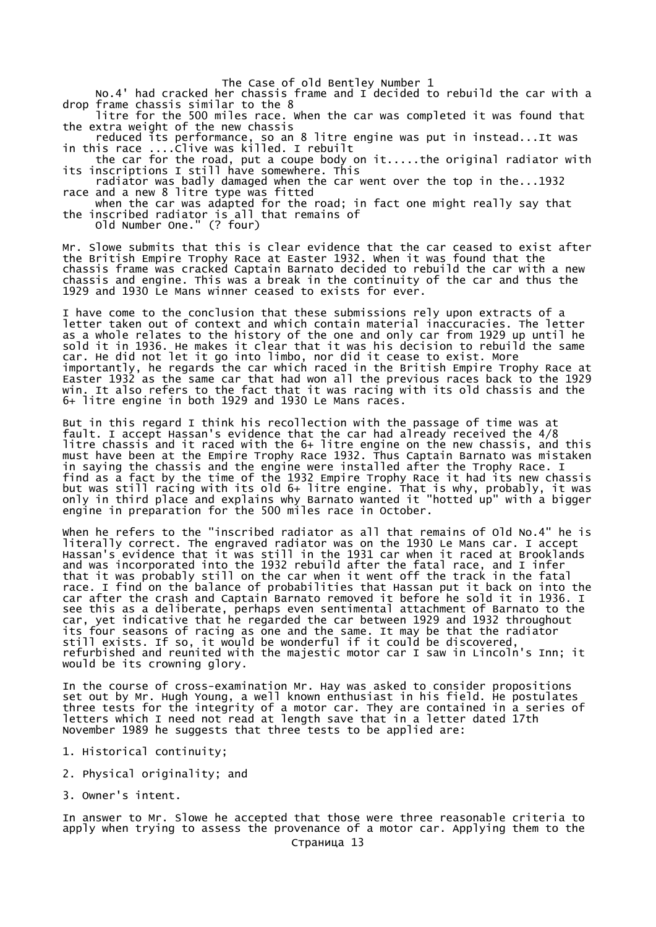No.4' had cracked her chassis frame and I decided to rebuild the car with a drop frame chassis similar to the 8

 litre for the 500 miles race. When the car was completed it was found that the extra weight of the new chassis

 reduced its performance, so an 8 litre engine was put in instead...It was in this race ....Clive was killed. I rebuilt

 the car for the road, put a coupe body on it.....the original radiator with its inscriptions I still have somewhere. This

 radiator was badly damaged when the car went over the top in the...1932 race and a new 8 litre type was fitted

 when the car was adapted for the road; in fact one might really say that the inscribed radiator is all that remains of

Old Number One." (? four)

Mr. Slowe submits that this is clear evidence that the car ceased to exist after the British Empire Trophy Race at Easter 1932. When it was found that the chassis frame was cracked Captain Barnato decided to rebuild the car with a new chassis and engine. This was a break in the continuity of the car and thus the 1929 and 1930 Le Mans winner ceased to exists for ever.

I have come to the conclusion that these submissions rely upon extracts of a letter taken out of context and which contain material inaccuracies. The letter as a whole relates to the history of the one and only car from 1929 up until he sold it in 1936. He makes it clear that it was his decision to rebuild the same car. He did not let it go into limbo, nor did it cease to exist. More importantly, he regards the car which raced in the British Empire Trophy Race at Easter 1932 as the same car that had won all the previous races back to the 1929 win. It also refers to the fact that it was racing with its old chassis and the 6+ litre engine in both 1929 and 1930 Le Mans races.

But in this regard I think his recollection with the passage of time was at fault. I accept Hassan's evidence that the car had already received the 4/8 litre chassis and it raced with the 6+ litre engine on the new chassis, and this must have been at the Empire Trophy Race 1932. Thus Captain Barnato was mistaken in saying the chassis and the engine were installed after the Trophy Race. I find as a fact by the time of the 1932 Empire Trophy Race it had its new chassis but was still racing with its old 6+ litre engine. That is why, probably, it was only in third place and explains why Barnato wanted it "hotted up" with a bigger engine in preparation for the 500 miles race in October.

When he refers to the "inscribed radiator as all that remains of Old No.4" he is literally correct. The engraved radiator was on the 1930 Le Mans car. I accept Hassan's evidence that it was still in the 1931 car when it raced at Brooklands and was incorporated into the 1932 rebuild after the fatal race, and I infer that it was probably still on the car when it went off the track in the fatal race. I find on the balance of probabilities that Hassan put it back on into the car after the crash and Captain Barnato removed it before he sold it in 1936. I see this as a deliberate, perhaps even sentimental attachment of Barnato to the car, yet indicative that he regarded the car between 1929 and 1932 throughout its four seasons of racing as one and the same. It may be that the radiator still exists. If so, it would be wonderful if it could be discovered, refurbished and reunited with the majestic motor car I saw in Lincoln's Inn; it would be its crowning glory.

In the course of cross-examination Mr. Hay was asked to consider propositions set out by Mr. Hugh Young, a well known enthusiast in his field. He postulates three tests for the integrity of a motor car. They are contained in a series of letters which I need not read at length save that in a letter dated 17th November 1989 he suggests that three tests to be applied are:

- 1. Historical continuity;
- 2. Physical originality; and
- 3. Owner's intent.

In answer to Mr. Slowe he accepted that those were three reasonable criteria to apply when trying to assess the provenance of a motor car. Applying them to the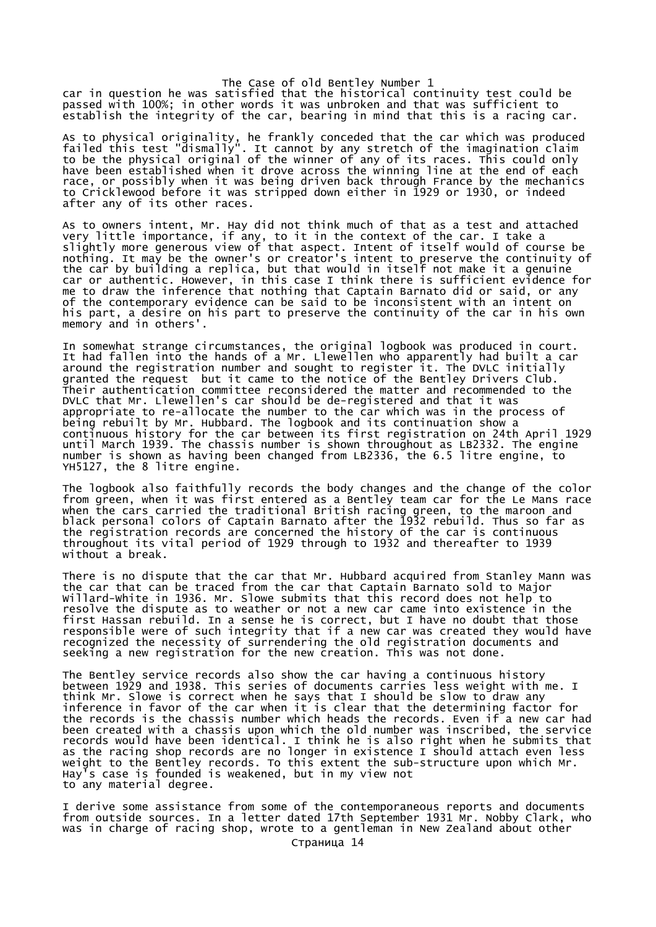car in question he was satisfied that the historical continuity test could be passed with 100%; in other words it was unbroken and that was sufficient to establish the integrity of the car, bearing in mind that this is a racing car.

As to physical originality, he frankly conceded that the car which was produced failed this test "dismally". It cannot by any stretch of the imagination claim to be the physical original of the winner of any of its races. This could only have been established when it drove across the winning line at the end of each race, or possibly when it was being driven back through France by the mechanics to Cricklewood before it was stripped down either in 1929 or 1930, or indeed after any of its other races.

As to owners intent, Mr. Hay did not think much of that as a test and attached very little importance, if any, to it in the context of the car. I take a slightly more generous view of that aspect. Intent of itself would of course be nothing. It may be the owner's or creator's intent to preserve the continuity of the car by building a replica, but that would in itself not make it a genuine car or authentic. However, in this case I think there is sufficient evidence for me to draw the inference that nothing that Captain Barnato did or said, or any of the contemporary evidence can be said to be inconsistent with an intent on his part, a desire on his part to preserve the continuity of the car in his own memory and in others'.

In somewhat strange circumstances, the original logbook was produced in court. It had fallen into the hands of a Mr. Llewellen who apparently had built a car around the registration number and sought to register it. The DVLC initially granted the request but it came to the notice of the Bentley Drivers Club. Their authentication committee reconsidered the matter and recommended to the DVLC that Mr. Llewellen's car should be de-registered and that it was appropriate to re-allocate the number to the car which was in the process of being rebuilt by Mr. Hubbard. The logbook and its continuation show a continuous history for the car between its first registration on 24th April 1929 until March 1939. The chassis number is shown throughout as LB2332. The engine number is shown as having been changed from LB2336, the 6.5 litre engine, to YH5127, the 8 litre engine.

The logbook also faithfully records the body changes and the change of the color from green, when it was first entered as a Bentley team car for the Le Mans race when the cars carried the traditional British racing green, to the maroon and black personal colors of Captain Barnato after the 1932 rebuild. Thus so far as the registration records are concerned the history of the car is continuous throughout its vital period of 1929 through to 1932 and thereafter to 1939 without a break.

There is no dispute that the car that Mr. Hubbard acquired from Stanley Mann was the car that can be traced from the car that Captain Barnato sold to Major Willard-White in 1936. Mr. Slowe submits that this record does not help to resolve the dispute as to weather or not a new car came into existence in the first Hassan rebuild. In a sense he is correct, but I have no doubt that those responsible were of such integrity that if a new car was created they would have recognized the necessity of surrendering the old registration documents and seeking a new registration for the new creation. This was not done.

The Bentley service records also show the car having a continuous history between 1929 and 1938. This series of documents carries less weight with me. I think Mr. Slowe is correct when he says that I should be slow to draw any inference in favor of the car when it is clear that the determining factor for the records is the chassis number which heads the records. Even if a new car had been created with a chassis upon which the old number was inscribed, the service records would have been identical. I think he is also right when he submits that as the racing shop records are no longer in existence I should attach even less weight to the Bentley records. To this extent the sub-structure upon which Mr. Hay's case is founded is weakened, but in my view not to any material degree.

I derive some assistance from some of the contemporaneous reports and documents from outside sources. In a letter dated 17th September 1931 Mr. Nobby Clark, who was in charge of racing shop, wrote to a gentleman in New Zealand about other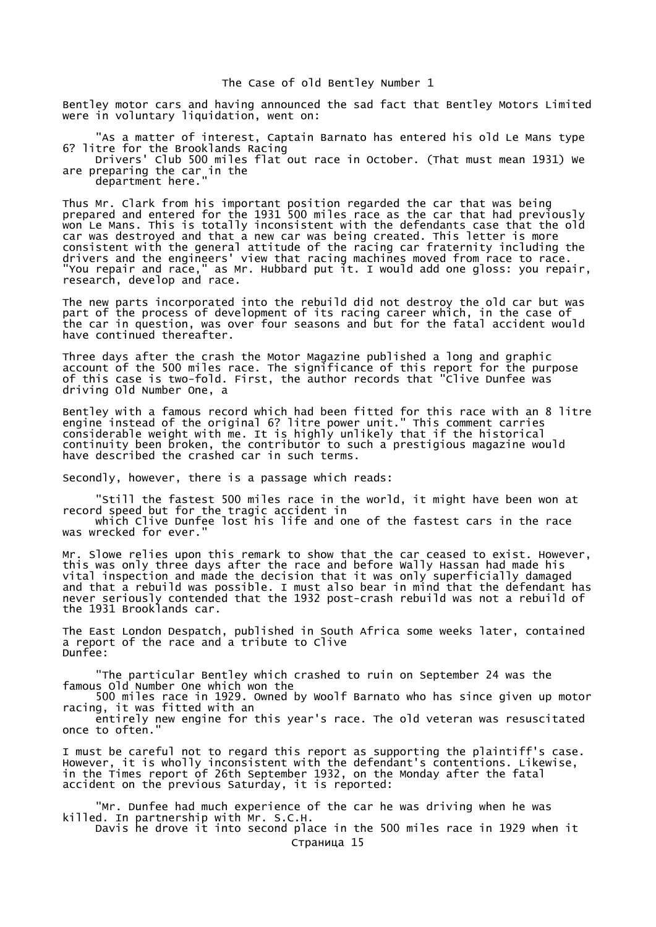Bentley motor cars and having announced the sad fact that Bentley Motors Limited were in voluntary liquidation, went on:

 "As a matter of interest, Captain Barnato has entered his old Le Mans type 6? litre for the Brooklands Racing

 Drivers' Club 500 miles flat out race in October. (That must mean 1931) We are preparing the car in the

department here."

Thus Mr. Clark from his important position regarded the car that was being prepared and entered for the 1931 500 miles race as the car that had previously won Le Mans. This is totally inconsistent with the defendants case that the old car was destroyed and that a new car was being created. This letter is more consistent with the general attitude of the racing car fraternity including the drivers and the engineers' view that racing machines moved from race to race. "You repair and race," as Mr. Hubbard put it. I would add one gloss: you repair, research, develop and race.

The new parts incorporated into the rebuild did not destroy the old car but was part of the process of development of its racing career which, in the case of the car in question, was over four seasons and but for the fatal accident would have continued thereafter.

Three days after the crash the Motor Magazine published a long and graphic account of the 500 miles race. The significance of this report for the purpose of this case is two-fold. First, the author records that "Clive Dunfee was driving Old Number One, a

Bentley with a famous record which had been fitted for this race with an 8 litre engine instead of the original 6? litre power unit." This comment carries considerable weight with me. It is highly unlikely that if the historical continuity been broken, the contributor to such a prestigious magazine would have described the crashed car in such terms.

Secondly, however, there is a passage which reads:

 "Still the fastest 500 miles race in the world, it might have been won at record speed but for the tragic accident in

which Clive Dunfee lost his life and one of the fastest cars in the race was wrecked for ever.

Mr. Slowe relies upon this remark to show that the car ceased to exist. However, this was only three days after the race and before Wally Hassan had made his vital inspection and made the decision that it was only superficially damaged and that a rebuild was possible. I must also bear in mind that the defendant has never seriously contended that the 1932 post-crash rebuild was not a rebuild of the 1931 Brooklands car.

The East London Despatch, published in South Africa some weeks later, contained a report of the race and a tribute to Clive Dunfee:

 "The particular Bentley which crashed to ruin on September 24 was the famous Old Number One which won the

 500 miles race in 1929. Owned by Woolf Barnato who has since given up motor racing, it was fitted with an

 entirely new engine for this year's race. The old veteran was resuscitated once to often."

I must be careful not to regard this report as supporting the plaintiff's case. However, it is wholly inconsistent with the defendant's contentions. Likewise, in the Times report of 26th September 1932, on the Monday after the fatal accident on the previous Saturday, it is reported:

 "Mr. Dunfee had much experience of the car he was driving when he was killed. In partnership with Mr. S.C.H.

Davis he drove it into second place in the 500 miles race in 1929 when it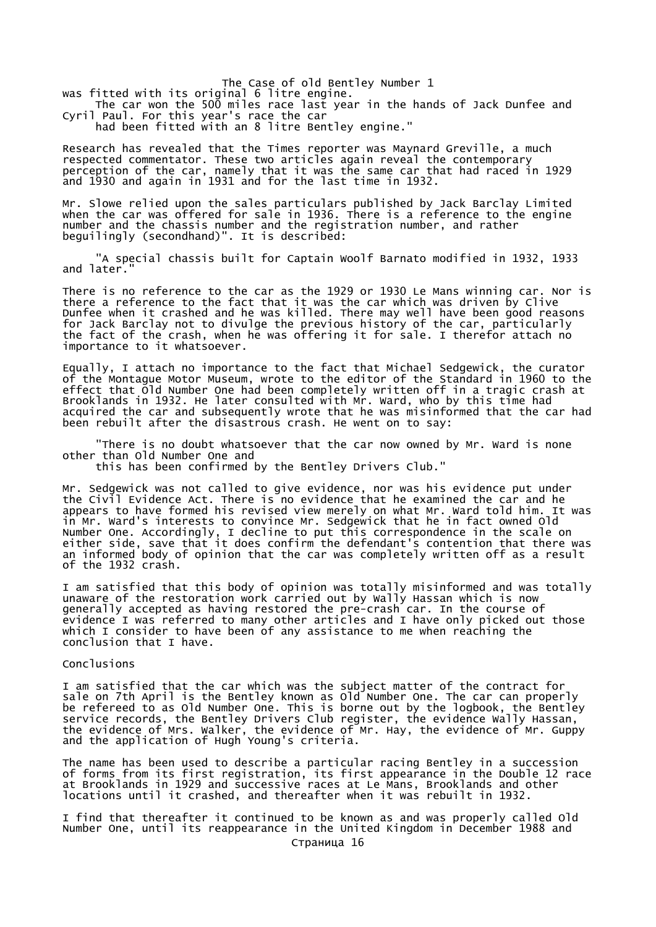The Case of old Bentley Number 1 was fitted with its original 6 litre engine. The car won the 500 miles race last year in the hands of Jack Dunfee and Cyril Paul. For this year's race the car

had been fitted with an 8 litre Bentley engine."

Research has revealed that the Times reporter was Maynard Greville, a much respected commentator. These two articles again reveal the contemporary perception of the car, namely that it was the same car that had raced in 1929 and 1930 and again in 1931 and for the last time in 1932.

Mr. Slowe relied upon the sales particulars published by Jack Barclay Limited when the car was offered for sale in 1936. There is a reference to the engine number and the chassis number and the registration number, and rather beguilingly (secondhand)". It is described:

 "A special chassis built for Captain Woolf Barnato modified in 1932, 1933 and later.

There is no reference to the car as the 1929 or 1930 Le Mans winning car. Nor is there a reference to the fact that it was the car which was driven by Clive Dunfee when it crashed and he was killed. There may well have been good reasons for Jack Barclay not to divulge the previous history of the car, particularly the fact of the crash, when he was offering it for sale. I therefor attach no importance to it whatsoever.

Equally, I attach no importance to the fact that Michael Sedgewick, the curator of the Montague Motor Museum, wrote to the editor of the Standard in 1960 to the effect that Old Number One had been completely written off in a tragic crash at Brooklands in 1932. He later consulted with Mr. Ward, who by this time had acquired the car and subsequently wrote that he was misinformed that the car had been rebuilt after the disastrous crash. He went on to say:

 "There is no doubt whatsoever that the car now owned by Mr. Ward is none other than Old Number One and

this has been confirmed by the Bentley Drivers Club."

Mr. Sedgewick was not called to give evidence, nor was his evidence put under the Civil Evidence Act. There is no evidence that he examined the car and he appears to have formed his revised view merely on what Mr. Ward told him. It was in Mr. Ward's interests to convince Mr. Sedgewick that he in fact owned Old Number One. Accordingly, I decline to put this correspondence in the scale on either side, save that it does confirm the defendant's contention that there was an informed body of opinion that the car was completely written off as a result of the 1932 crash.

I am satisfied that this body of opinion was totally misinformed and was totally unaware of the restoration work carried out by Wally Hassan which is now generally accepted as having restored the pre-crash car. In the course of evidence I was referred to many other articles and I have only picked out those which I consider to have been of any assistance to me when reaching the conclusion that I have.

### Conclusions

I am satisfied that the car which was the subject matter of the contract for sale on 7th April is the Bentley known as Old Number One. The car can properly be refereed to as Old Number One. This is borne out by the logbook, the Bentley service records, the Bentley Drivers Club register, the evidence Wally Hassan, the evidence of Mrs. Walker, the evidence of Mr. Hay, the evidence of Mr. Guppy and the application of Hugh Young's criteria.

The name has been used to describe a particular racing Bentley in a succession of forms from its first registration, its first appearance in the Double 12 race at Brooklands in 1929 and successive races at Le Mans, Brooklands and other locations until it crashed, and thereafter when it was rebuilt in 1932.

I find that thereafter it continued to be known as and was properly called Old Number One, until its reappearance in the United Kingdom in December 1988 and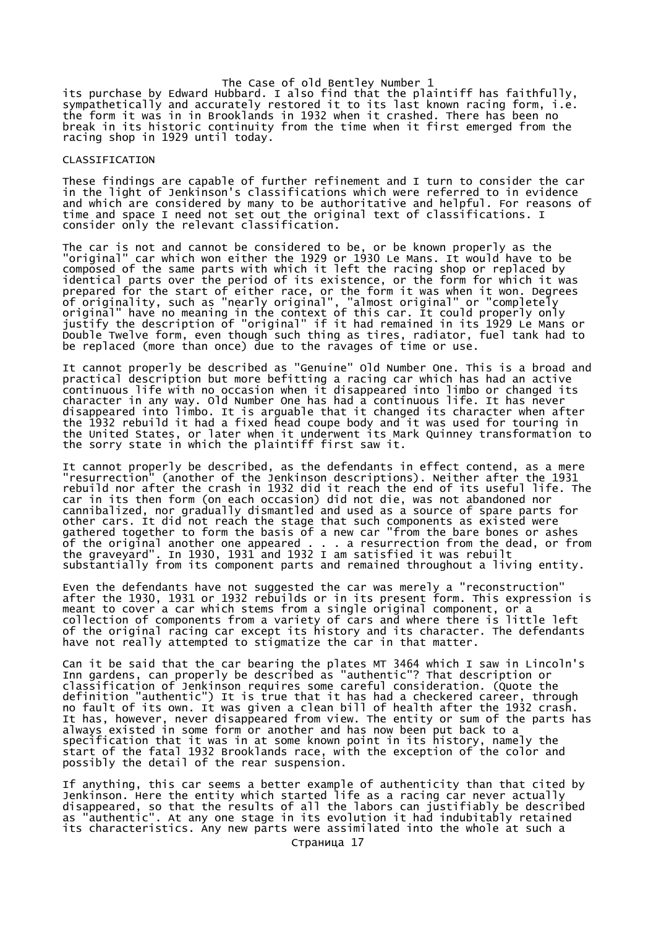The Case of old Bentley Number 1 its purchase by Edward Hubbard. I also find that the plaintiff has faithfully, sympathetically and accurately restored it to its last known racing form, i.e. the form it was in in Brooklands in 1932 when it crashed. There has been no break in its historic continuity from the time when it first emerged from the racing shop in 1929 until today.

#### CLASSIFICATION

These findings are capable of further refinement and I turn to consider the car in the light of Jenkinson's classifications which were referred to in evidence and which are considered by many to be authoritative and helpful. For reasons of time and space I need not set out the original text of classifications. I consider only the relevant classification.

The car is not and cannot be considered to be, or be known properly as the "original" car which won either the 1929 or 1930 Le Mans. It would have to be composed of the same parts with which it left the racing shop or replaced by identical parts over the period of its existence, or the form for which it was prepared for the start of either race, or the form it was when it won. Degrees of originality, such as "nearly original", "almost original" or "completely original" have no meaning in the context of this car. It could properly only justify the description of "original" if it had remained in its 1929 Le Mans or Double Twelve form, even though such thing as tires, radiator, fuel tank had to be replaced (more than once) due to the ravages of time or use.

It cannot properly be described as "Genuine" Old Number One. This is a broad and practical description but more befitting a racing car which has had an active continuous life with no occasion when it disappeared into limbo or changed its character in any way. Old Number One has had a continuous life. It has never disappeared into limbo. It is arguable that it changed its character when after the 1932 rebuild it had a fixed head coupe body and it was used for touring in the United States, or later when it underwent its Mark Quinney transformation to the sorry state in which the plaintiff first saw it.

It cannot properly be described, as the defendants in effect contend, as a mere "resurrection" (another of the Jenkinson descriptions). Neither after the 1931 rebuild nor after the crash in 1932 did it reach the end of its useful life. The car in its then form (on each occasion) did not die, was not abandoned nor cannibalized, nor gradually dismantled and used as a source of spare parts for other cars. It did not reach the stage that such components as existed were gathered together to form the basis of a new car "from the bare bones or ashes of the original another one appeared . . . a resurrection from the dead, or from the graveyard". In 1930, 1931 and 1932 I am satisfied it was rebuilt substantially from its component parts and remained throughout a living entity.

Even the defendants have not suggested the car was merely a "reconstruction" after the 1930, 1931 or 1932 rebuilds or in its present form. This expression is meant to cover a car which stems from a single original component, or a collection of components from a variety of cars and where there is little left of the original racing car except its history and its character. The defendants have not really attempted to stigmatize the car in that matter.

Can it be said that the car bearing the plates MT 3464 which I saw in Lincoln's Inn gardens, can properly be described as "authentic"? That description or classification of Jenkinson requires some careful consideration. (Quote the definition "authentic") It is true that it has had a checkered career, through no fault of its own. It was given a clean bill of health after the 1932 crash. It has, however, never disappeared from view. The entity or sum of the parts has always existed in some form or another and has now been put back to a specification that it was in at some known point in its history, namely the start of the fatal 1932 Brooklands race, with the exception of the color and possibly the detail of the rear suspension.

If anything, this car seems a better example of authenticity than that cited by Jenkinson. Here the entity which started life as a racing car never actually disappeared, so that the results of all the labors can justifiably be described as "authentic". At any one stage in its evolution it had indubitably retained its characteristics. Any new parts were assimilated into the whole at such a